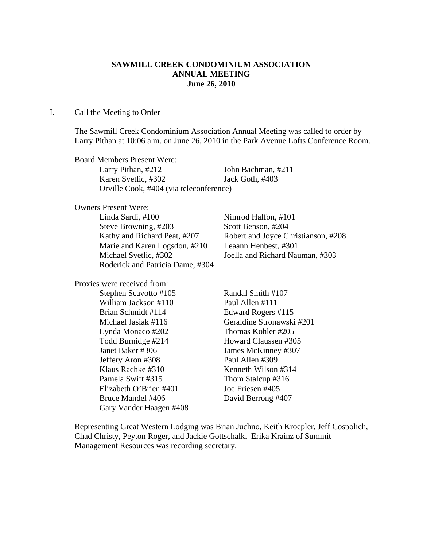# **SAWMILL CREEK CONDOMINIUM ASSOCIATION ANNUAL MEETING June 26, 2010**

#### I. Call the Meeting to Order

The Sawmill Creek Condominium Association Annual Meeting was called to order by Larry Pithan at 10:06 a.m. on June 26, 2010 in the Park Avenue Lofts Conference Room.

Board Members Present Were: Larry Pithan, #212 John Bachman, #211 Karen Svetlic, #302 Jack Goth, #403 Orville Cook, #404 (via teleconference)

Owners Present Were:

 Linda Sardi, #100 Nimrod Halfon, #101 Steve Browning, #203 Scott Benson, #204 Marie and Karen Logsdon, #210 Leaann Henbest, #301 Michael Svetlic, #302 Joella and Richard Nauman, #303 Roderick and Patricia Dame, #304

Proxies were received from:

Stephen Scavotto #105 Randal Smith #107 William Jackson #110 Paul Allen #111 Brian Schmidt #114 Edward Rogers #115 Michael Jasiak #116 Geraldine Stronawski #201 Lynda Monaco #202 Thomas Kohler #205 Todd Burnidge #214 Howard Claussen #305 Janet Baker #306 James McKinney #307 Jeffery Aron #308 Paul Allen #309 Klaus Rachke #310 Kenneth Wilson #314 Pamela Swift #315 Thom Stalcup #316 Elizabeth O'Brien #401 Joe Friesen #405 Bruce Mandel #406 David Berrong #407 Gary Vander Haagen #408

Kathy and Richard Peat, #207 Robert and Joyce Christianson, #208

Representing Great Western Lodging was Brian Juchno, Keith Kroepler, Jeff Cospolich, Chad Christy, Peyton Roger, and Jackie Gottschalk. Erika Krainz of Summit Management Resources was recording secretary.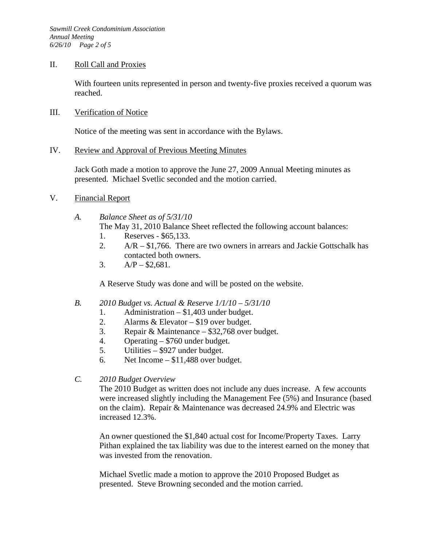### II. Roll Call and Proxies

With fourteen units represented in person and twenty-five proxies received a quorum was reached.

### III. Verification of Notice

Notice of the meeting was sent in accordance with the Bylaws.

### IV. Review and Approval of Previous Meeting Minutes

Jack Goth made a motion to approve the June 27, 2009 Annual Meeting minutes as presented. Michael Svetlic seconded and the motion carried.

- V. Financial Report
	- *A. Balance Sheet as of 5/31/10* 
		- The May 31, 2010 Balance Sheet reflected the following account balances:
		- 1. Reserves \$65,133.
		- 2.  $A/R $1,766$ . There are two owners in arrears and Jackie Gottschalk has contacted both owners.
		- 3.  $A/P $2,681$ .

A Reserve Study was done and will be posted on the website.

#### *B. 2010 Budget vs. Actual & Reserve 1/1/10 – 5/31/10*

- 1. Administration \$1,403 under budget.
- 2. Alarms & Elevator \$19 over budget.
- 3. Repair & Maintenance \$32,768 over budget.
- 4. Operating \$760 under budget.
- 5. Utilities \$927 under budget.
- 6. Net Income \$11,488 over budget.
- *C. 2010 Budget Overview*

The 2010 Budget as written does not include any dues increase. A few accounts were increased slightly including the Management Fee (5%) and Insurance (based on the claim). Repair & Maintenance was decreased 24.9% and Electric was increased 12.3%.

An owner questioned the \$1,840 actual cost for Income/Property Taxes. Larry Pithan explained the tax liability was due to the interest earned on the money that was invested from the renovation.

Michael Svetlic made a motion to approve the 2010 Proposed Budget as presented. Steve Browning seconded and the motion carried.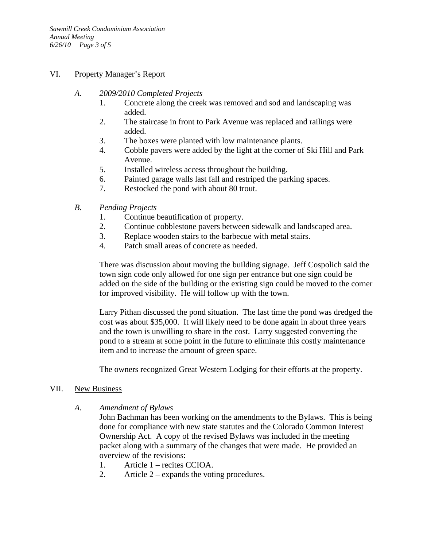### VI. Property Manager's Report

- *A. 2009/2010 Completed Projects* 
	- 1. Concrete along the creek was removed and sod and landscaping was added.
	- 2. The staircase in front to Park Avenue was replaced and railings were added.
	- 3. The boxes were planted with low maintenance plants.
	- 4. Cobble pavers were added by the light at the corner of Ski Hill and Park Avenue.
	- 5. Installed wireless access throughout the building.
	- 6. Painted garage walls last fall and restriped the parking spaces.
	- 7. Restocked the pond with about 80 trout.
- *B. Pending Projects* 
	- 1. Continue beautification of property.
	- 2. Continue cobblestone pavers between sidewalk and landscaped area.
	- 3. Replace wooden stairs to the barbecue with metal stairs.
	- 4. Patch small areas of concrete as needed.

There was discussion about moving the building signage. Jeff Cospolich said the town sign code only allowed for one sign per entrance but one sign could be added on the side of the building or the existing sign could be moved to the corner for improved visibility. He will follow up with the town.

Larry Pithan discussed the pond situation. The last time the pond was dredged the cost was about \$35,000. It will likely need to be done again in about three years and the town is unwilling to share in the cost. Larry suggested converting the pond to a stream at some point in the future to eliminate this costly maintenance item and to increase the amount of green space.

The owners recognized Great Western Lodging for their efforts at the property.

## VII. New Business

*A. Amendment of Bylaws* 

John Bachman has been working on the amendments to the Bylaws. This is being done for compliance with new state statutes and the Colorado Common Interest Ownership Act. A copy of the revised Bylaws was included in the meeting packet along with a summary of the changes that were made. He provided an overview of the revisions:

- 1. Article 1 recites CCIOA.
- 2. Article 2 expands the voting procedures.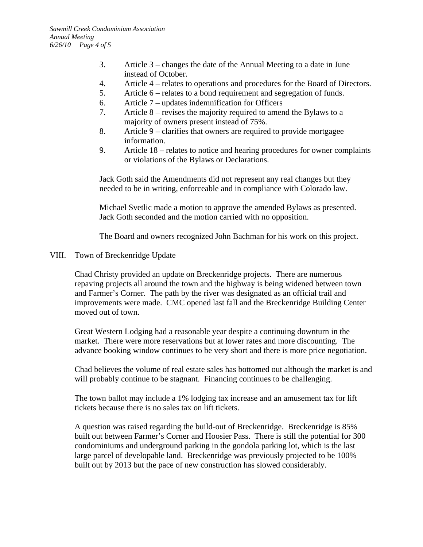- 3. Article 3 changes the date of the Annual Meeting to a date in June instead of October.
- 4. Article 4 relates to operations and procedures for the Board of Directors.
- 5. Article 6 relates to a bond requirement and segregation of funds.
- 6. Article 7 updates indemnification for Officers
- 7. Article 8 revises the majority required to amend the Bylaws to a majority of owners present instead of 75%.
- 8. Article 9 clarifies that owners are required to provide mortgagee information.
- 9. Article 18 relates to notice and hearing procedures for owner complaints or violations of the Bylaws or Declarations.

Jack Goth said the Amendments did not represent any real changes but they needed to be in writing, enforceable and in compliance with Colorado law.

Michael Svetlic made a motion to approve the amended Bylaws as presented. Jack Goth seconded and the motion carried with no opposition.

The Board and owners recognized John Bachman for his work on this project.

### VIII. Town of Breckenridge Update

Chad Christy provided an update on Breckenridge projects. There are numerous repaving projects all around the town and the highway is being widened between town and Farmer's Corner. The path by the river was designated as an official trail and improvements were made. CMC opened last fall and the Breckenridge Building Center moved out of town.

Great Western Lodging had a reasonable year despite a continuing downturn in the market. There were more reservations but at lower rates and more discounting. The advance booking window continues to be very short and there is more price negotiation.

Chad believes the volume of real estate sales has bottomed out although the market is and will probably continue to be stagnant. Financing continues to be challenging.

The town ballot may include a 1% lodging tax increase and an amusement tax for lift tickets because there is no sales tax on lift tickets.

A question was raised regarding the build-out of Breckenridge. Breckenridge is 85% built out between Farmer's Corner and Hoosier Pass. There is still the potential for 300 condominiums and underground parking in the gondola parking lot, which is the last large parcel of developable land. Breckenridge was previously projected to be 100% built out by 2013 but the pace of new construction has slowed considerably.